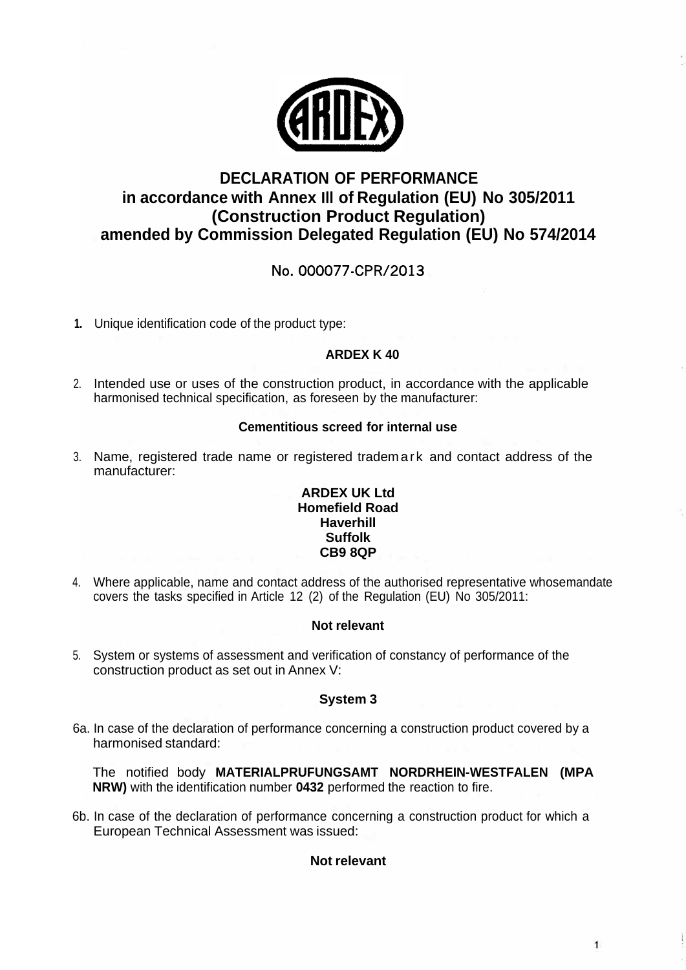

# **DECLARATION OF PERFORMANCE in accordance with Annex Ill of Regulation (EU) No 305/2011 (Construction Product Regulation) amended by Commission Delegated Regulation (EU) No 574/2014**

# No. 000077-CPR/2013

**1.** Unique identification code of the product type:

## **ARDEX K 40**

2. Intended use or uses of the construction product, in accordance with the applicable harmonised technical specification, as foreseen by the manufacturer:

### **Cementitious screed for internal use**

3. Name, registered trade name or registered tradema rk and contact address of the manufacturer:

#### **ARDEX UK Ltd Homefield Road Haverhill Suffolk CB9 8QP**

4. Where applicable, name and contact address of the authorised representative whosemandate covers the tasks specified in Article 12 (2) of the Regulation (EU) No 305/2011:

#### **Not relevant**

5. System or systems of assessment and verification of constancy of performance of the construction product as set out in Annex V:

### **System 3**

6a. In case of the declaration of performance concerning a construction product covered by a harmonised standard:

The notified body **MATERIALPRUFUNGSAMT NORDRHEIN-WESTFALEN (MPA NRW)** with the identification number **0432** performed the reaction to fire.

6b. In case of the declaration of performance concerning a construction product for which a European Technical Assessment was issued:

### **Not relevant**